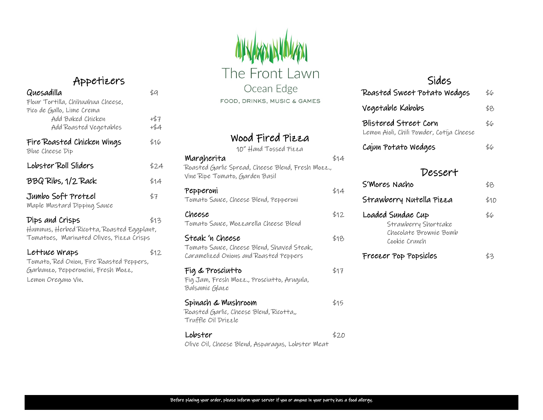### Appetizers

| Quesadilla<br>Flour Tortilla, Chihuahua Cheese,                          | \$9           |  |  |  |
|--------------------------------------------------------------------------|---------------|--|--|--|
| Pico de Gallo, Lime Crema<br>Add Baked Chicken<br>Add Roasted Vegetables | +\$7<br>$+54$ |  |  |  |
| Fire Roasted Chicken Wings<br>Blue Cheese Dip                            | \$16          |  |  |  |
| Lobster Roll Sliders                                                     | \$24          |  |  |  |
| BBQ Ribs, 1/2 Rack                                                       |               |  |  |  |
| Jumbo Soft Pretzel<br>Maple Mustard Dipping Sauce                        | \$7           |  |  |  |
| Dips and Crisps                                                          | \$13          |  |  |  |

Hummus, Herbed Ricotta, Roasted Eggplant, Tomatoes, Marinated Olives, Pizza Crisps

#### Lettuce Wraps  $$12$ Tomato, Red Onion, Fire Roasted Peppers, Garbanzo, Pepperoncini, Fresh Mozz, Lemon Oregano Vin.

# The Front Lawn Ocean Edge FOOD, DRINKS, MUSIC & GAMES

#### Wood Fired Pizza

10" Hand Tossed Pizza

| Margherita<br>Roasted Garlic Spread, Cheese Blend, Fresh Mozz.,<br>Vine Ripe Tomato, Garden Basil      | \$14 |
|--------------------------------------------------------------------------------------------------------|------|
| Pepperoni<br>Tomato Sauce, Cheese Blend, Pepperoni                                                     | \$14 |
| Cheese<br>Tomato Sauce, Mozzarella Cheese Blend                                                        | \$12 |
| Steak 'n Cheese<br>Tomato Sauce, Cheese Blend, Shaved Steak,<br>Caramelized Onions and Roasted Peppers | \$18 |
| Fig & Prosciutto<br>Fig Jam, Fresh Mozz., Prosciutto, Arugula,<br>Balsamic Glaee                       | \$17 |
| Spinach & Mushroom<br>Roasted Garlic, Cheese Blend, Ricotta,,<br>Truffle Oil Driezle                   | \$15 |
| Lobster                                                                                                | \$20 |

Olive Oil, Cheese Blend, Asparagus, Lobster Meat

#### Sides

| Roasted Sweet Potato Wedges                                       | \$6 |
|-------------------------------------------------------------------|-----|
| Vegetable Kabobs                                                  | \$8 |
| Blistered Street Corn<br>Lemon Aioli, Chili Powder, Cotija Cheese | \$6 |
| Cajun Potato Wedges                                               | \$6 |

#### Dessert

| S'Mores Nacho                                                                        | 88    |
|--------------------------------------------------------------------------------------|-------|
| Strawberry Nutella Pizza                                                             | \$1 D |
| Loaded Sundae Cup<br>Strawberry Shortcake<br>Chocolate Brownie Bomb<br>Cookie Crunch | \$6   |
| Freezer Pop Popsicles                                                                |       |